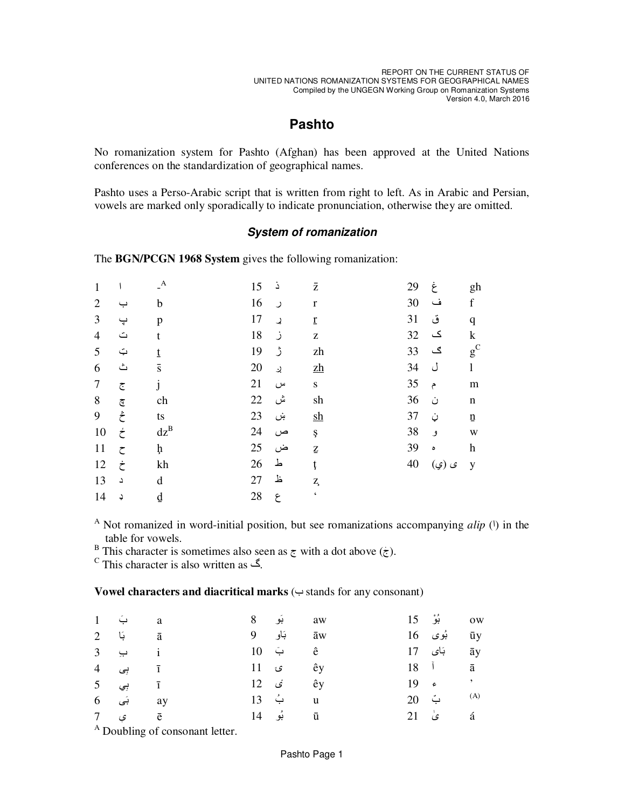## **Pashto**

No romanization system for Pashto (Afghan) has been approved at the United Nations conferences on the standardization of geographical names.

Pashto uses a Perso-Arabic script that is written from right to left. As in Arabic and Persian, vowels are marked only sporadically to indicate pronunciation, otherwise they are omitted.

## **System of romanization**

The BGN/PCGN 1968 System gives the following romanization:

| 1              |                                 | $\mathbf{A}$     | 15 | ذ | $\bar{z}$                                             | 29 | غ          | gh                        |
|----------------|---------------------------------|------------------|----|---|-------------------------------------------------------|----|------------|---------------------------|
| $\overline{2}$ | ب                               | b                | 16 | ر | $\mathbf r$                                           | 30 | ف          | f                         |
| 3              | ڀ                               | p                | 17 | ړ | $\underline{\mathbf{r}}$                              | 31 | ق          | $\mathbf q$               |
| $\overline{4}$ | $\triangle$                     | t                | 18 | ز | $\mathbf{Z}% ^{T}=\mathbf{Z}^{T}\times\mathbf{Z}^{T}$ | 32 | ک          | $\mathbf k$               |
| 5              | $\dot{\boldsymbol{\downarrow}}$ | $t$              | 19 | ڑ | zh                                                    | 33 | ګ          | $g^C$                     |
| 6              | ث                               | $\bar{\text{s}}$ | 20 | ړ | $\mathbf{z}$ h                                        | 34 | ل          | $\mathbf{1}$              |
| $\tau$         | $\overline{C}$                  | j                | 21 | س | ${\bf S}$                                             | 35 | $\epsilon$ | m                         |
| $8\,$          | $\overline{\mathbb{C}}$         | ch               | 22 | ش | sh                                                    | 36 | ن          | $\mathbf n$               |
| 9              | ځ                               | ts               | 23 | ښ | $\frac{\text{sh}}{\text{sh}}$                         | 37 | ڼ          | $\underline{\mathbf{n}}$  |
| 10             | ځ                               | $dz^B$           | 24 | ص | Ş                                                     | 38 | و          | W                         |
| 11             | $\zeta$                         | ħ                | 25 | ض | $\underline{\mathbf{Z}}$                              | 39 | $\bullet$  | $\boldsymbol{\mathrm{h}}$ |
| 12             | $\dot{\tau}$                    | kh               | 26 | 上 | ţ                                                     | 40 | ى (ي)      | y                         |
| 13             | د                               | d                | 27 | 上 | Z,                                                    |    |            |                           |
| 14             | ډ                               | ₫                | 28 | ع | $\boldsymbol{\varsigma}$                              |    |            |                           |

<sup>A</sup> Not romanized in word-initial position, but see romanizations accompanying *alip* ( $\vert$ ) in the table for vowels.

This character is sometimes also seen as  $\zeta$  with a dot above  $(\zeta)$ .<br>  $\zeta$ .<br>
This character is also written as  $\zeta$ .

## Vowel characters and diacritical marks  $(\rightarrow$  stands for any consonant)

| a بَ 1                                      |  | 8 بَو 8         |       | ow بُوْ 15                      |  |
|---------------------------------------------|--|-----------------|-------|---------------------------------|--|
| $2$ $\overline{a}$ $\overline{a}$           |  | āw بَاو 9       |       | $16$ بُوی $\bar{u}y$            |  |
| $3 \rightarrow i$                           |  | ê ب <u>َ</u> 10 |       | $17$ بَای $\bar{a}$ y           |  |
| 4 بى 4 $\bar{1}$                            |  | 11 <i>ي</i> 11  |       | $18$ $\bar{a}$                  |  |
| $5\qquad \qquad \frac{1}{1}$                |  | êy <i>فی</i> 12 |       | $19 \div$                       |  |
| $6 \quad 4$ (ay                             |  | u بُ 13         | بّ 20 | (A)                             |  |
| <del>ق</del> ي 7                            |  | ū بُو 14        |       | $21 \quad \circ \quad \text{a}$ |  |
| $\Delta$ $\sim$ $\sim$ $\sim$ $\sim$ $\sim$ |  |                 |       |                                 |  |

<sup>A</sup> Doubling of consonant letter.